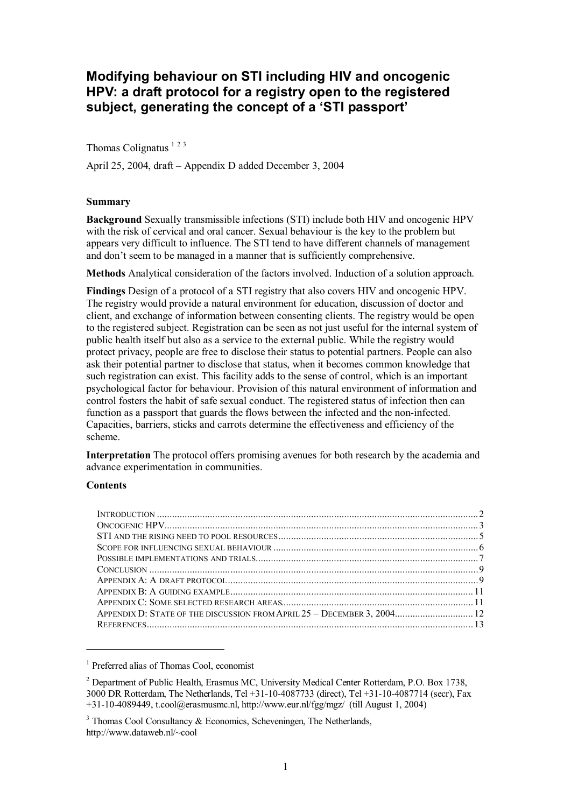# **Modifying behaviour on STI including HIV and oncogenic HPV: a draft protocol for a registry open to the registered subject, generating the concept of a 'STI passport'**

Thomas Colignatus  $123$ 

April 25, 2004, draft – Appendix D added December 3, 2004

#### **Summary**

**Background** Sexually transmissible infections (STI) include both HIV and oncogenic HPV with the risk of cervical and oral cancer. Sexual behaviour is the key to the problem but appears very difficult to influence. The STI tend to have different channels of management and don't seem to be managed in a manner that is sufficiently comprehensive.

**Methods** Analytical consideration of the factors involved. Induction of a solution approach.

**Findings** Design of a protocol of a STI registry that also covers HIV and oncogenic HPV. The registry would provide a natural environment for education, discussion of doctor and client, and exchange of information between consenting clients. The registry would be open to the registered subject. Registration can be seen as not just useful for the internal system of public health itself but also as a service to the external public. While the registry would protect privacy, people are free to disclose their status to potential partners. People can also ask their potential partner to disclose that status, when it becomes common knowledge that such registration can exist. This facility adds to the sense of control, which is an important psychological factor for behaviour. Provision of this natural environment of information and control fosters the habit of safe sexual conduct. The registered status of infection then can function as a passport that guards the flows between the infected and the non-infected. Capacities, barriers, sticks and carrots determine the effectiveness and efficiency of the scheme.

**Interpretation** The protocol offers promising avenues for both research by the academia and advance experimentation in communities.

#### **Contents**

1

| APPENDIX D: STATE OF THE DISCUSSION FROM APRIL 25 - DECEMBER 3, 2004 12 |  |
|-------------------------------------------------------------------------|--|
|                                                                         |  |
|                                                                         |  |

<sup>&</sup>lt;sup>1</sup> Preferred alias of Thomas Cool, economist

<sup>&</sup>lt;sup>2</sup> Department of Public Health, Erasmus MC, University Medical Center Rotterdam, P.O. Box 1738, 3000 DR Rotterdam, The Netherlands, Tel +31-10-4087733 (direct), Tel +31-10-4087714 (secr), Fax +31-10-4089449, t.cool@erasmusmc.nl, http://www.eur.nl/fgg/mgz/ (till August 1, 2004)

 $3$  Thomas Cool Consultancy & Economics, Scheveningen, The Netherlands, http://www.dataweb.nl/~cool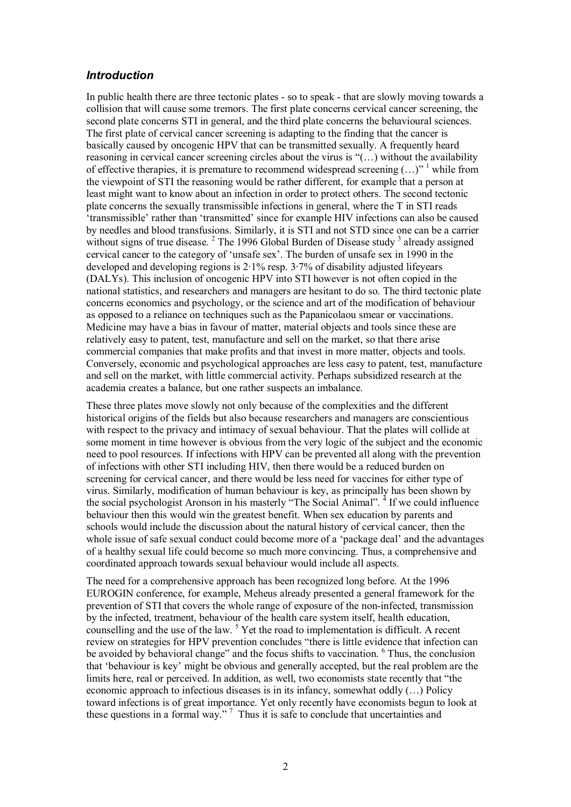#### *Introduction*

In public health there are three tectonic plates - so to speak - that are slowly moving towards a collision that will cause some tremors. The first plate concerns cervical cancer screening, the second plate concerns STI in general, and the third plate concerns the behavioural sciences. The first plate of cervical cancer screening is adapting to the finding that the cancer is basically caused by oncogenic HPV that can be transmitted sexually. A frequently heard reasoning in cervical cancer screening circles about the virus is "(…) without the availability of effective therapies, it is premature to recommend widespread screening  $(\ldots)^{n-1}$  while from the viewpoint of STI the reasoning would be rather different, for example that a person at least might want to know about an infection in order to protect others. The second tectonic plate concerns the sexually transmissible infections in general, where the T in STI reads 'transmissible' rather than 'transmitted' since for example HIV infections can also be caused by needles and blood transfusions. Similarly, it is STI and not STD since one can be a carrier without signs of true disease. <sup>2</sup> The 1996 Global Burden of Disease study <sup>3</sup> already assigned cervical cancer to the category of 'unsafe sex'. The burden of unsafe sex in 1990 in the developed and developing regions is 2·1% resp. 3·7% of disability adjusted lifeyears (DALYs). This inclusion of oncogenic HPV into STI however is not often copied in the national statistics, and researchers and managers are hesitant to do so. The third tectonic plate concerns economics and psychology, or the science and art of the modification of behaviour as opposed to a reliance on techniques such as the Papanicolaou smear or vaccinations. Medicine may have a bias in favour of matter, material objects and tools since these are relatively easy to patent, test, manufacture and sell on the market, so that there arise commercial companies that make profits and that invest in more matter, objects and tools. Conversely, economic and psychological approaches are less easy to patent, test, manufacture and sell on the market, with little commercial activity. Perhaps subsidized research at the academia creates a balance, but one rather suspects an imbalance.

These three plates move slowly not only because of the complexities and the different historical origins of the fields but also because researchers and managers are conscientious with respect to the privacy and intimacy of sexual behaviour. That the plates will collide at some moment in time however is obvious from the very logic of the subject and the economic need to pool resources. If infections with HPV can be prevented all along with the prevention of infections with other STI including HIV, then there would be a reduced burden on screening for cervical cancer, and there would be less need for vaccines for either type of virus. Similarly, modification of human behaviour is key, as principally has been shown by the social psychologist Aronson in his masterly "The Social Animal".<sup>4</sup> If we could influence behaviour then this would win the greatest benefit. When sex education by parents and schools would include the discussion about the natural history of cervical cancer, then the whole issue of safe sexual conduct could become more of a 'package deal' and the advantages of a healthy sexual life could become so much more convincing. Thus, a comprehensive and coordinated approach towards sexual behaviour would include all aspects.

The need for a comprehensive approach has been recognized long before. At the 1996 EUROGIN conference, for example, Meheus already presented a general framework for the prevention of STI that covers the whole range of exposure of the non-infected, transmission by the infected, treatment, behaviour of the health care system itself, health education, counselling and the use of the law. <sup>5</sup> Yet the road to implementation is difficult. A recent review on strategies for HPV prevention concludes "there is little evidence that infection can be avoided by behavioral change" and the focus shifts to vaccination. <sup>6</sup> Thus, the conclusion that 'behaviour is key' might be obvious and generally accepted, but the real problem are the limits here, real or perceived. In addition, as well, two economists state recently that "the economic approach to infectious diseases is in its infancy, somewhat oddly (…) Policy toward infections is of great importance. Yet only recently have economists begun to look at these questions in a formal way."<sup>7</sup> Thus it is safe to conclude that uncertainties and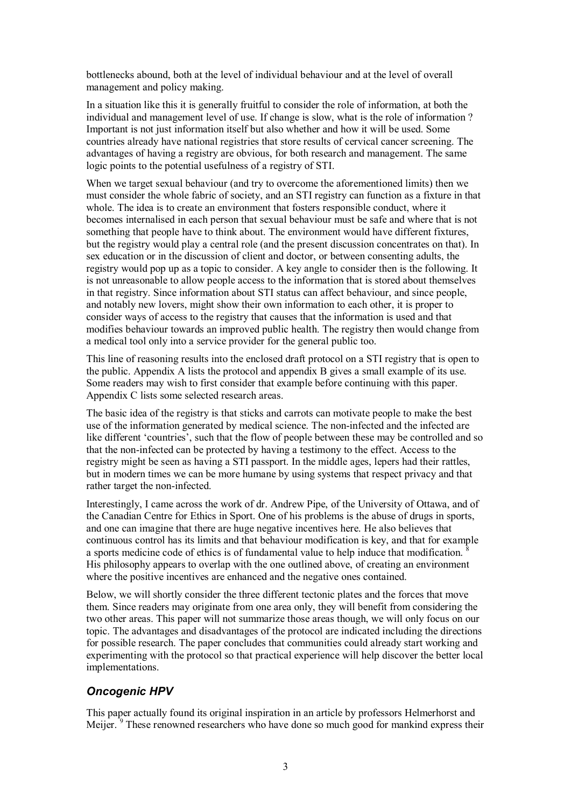bottlenecks abound, both at the level of individual behaviour and at the level of overall management and policy making.

In a situation like this it is generally fruitful to consider the role of information, at both the individual and management level of use. If change is slow, what is the role of information ? Important is not just information itself but also whether and how it will be used. Some countries already have national registries that store results of cervical cancer screening. The advantages of having a registry are obvious, for both research and management. The same logic points to the potential usefulness of a registry of STI.

When we target sexual behaviour (and try to overcome the aforementioned limits) then we must consider the whole fabric of society, and an STI registry can function as a fixture in that whole. The idea is to create an environment that fosters responsible conduct, where it becomes internalised in each person that sexual behaviour must be safe and where that is not something that people have to think about. The environment would have different fixtures, but the registry would play a central role (and the present discussion concentrates on that). In sex education or in the discussion of client and doctor, or between consenting adults, the registry would pop up as a topic to consider. A key angle to consider then is the following. It is not unreasonable to allow people access to the information that is stored about themselves in that registry. Since information about STI status can affect behaviour, and since people, and notably new lovers, might show their own information to each other, it is proper to consider ways of access to the registry that causes that the information is used and that modifies behaviour towards an improved public health. The registry then would change from a medical tool only into a service provider for the general public too.

This line of reasoning results into the enclosed draft protocol on a STI registry that is open to the public. Appendix A lists the protocol and appendix B gives a small example of its use. Some readers may wish to first consider that example before continuing with this paper. Appendix C lists some selected research areas.

The basic idea of the registry is that sticks and carrots can motivate people to make the best use of the information generated by medical science. The non-infected and the infected are like different 'countries', such that the flow of people between these may be controlled and so that the non-infected can be protected by having a testimony to the effect. Access to the registry might be seen as having a STI passport. In the middle ages, lepers had their rattles, but in modern times we can be more humane by using systems that respect privacy and that rather target the non-infected.

Interestingly, I came across the work of dr. Andrew Pipe, of the University of Ottawa, and of the Canadian Centre for Ethics in Sport. One of his problems is the abuse of drugs in sports, and one can imagine that there are huge negative incentives here. He also believes that continuous control has its limits and that behaviour modification is key, and that for example a sports medicine code of ethics is of fundamental value to help induce that modification. <sup>8</sup> His philosophy appears to overlap with the one outlined above, of creating an environment where the positive incentives are enhanced and the negative ones contained.

Below, we will shortly consider the three different tectonic plates and the forces that move them. Since readers may originate from one area only, they will benefit from considering the two other areas. This paper will not summarize those areas though, we will only focus on our topic. The advantages and disadvantages of the protocol are indicated including the directions for possible research. The paper concludes that communities could already start working and experimenting with the protocol so that practical experience will help discover the better local implementations.

# *Oncogenic HPV*

This paper actually found its original inspiration in an article by professors Helmerhorst and Meijer.<sup>9</sup> These renowned researchers who have done so much good for mankind express their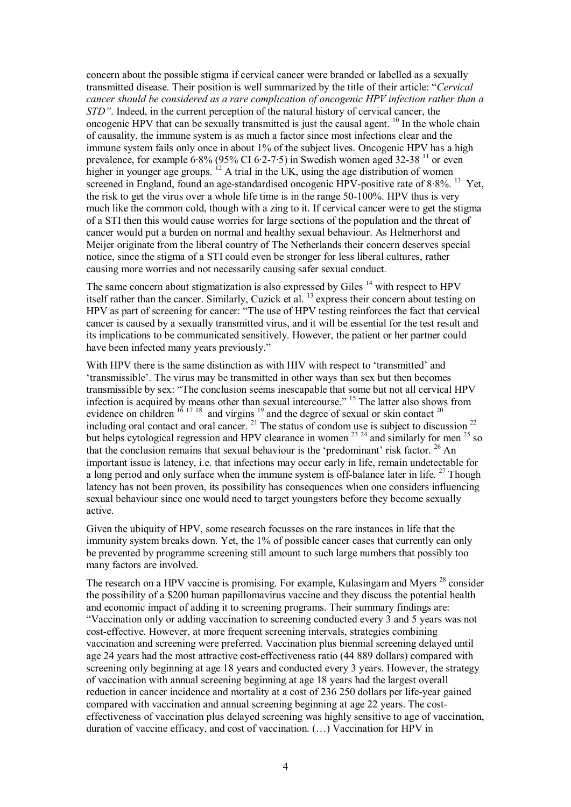concern about the possible stigma if cervical cancer were branded or labelled as a sexually transmitted disease. Their position is well summarized by the title of their article: "*Cervical cancer should be considered as a rare complication of oncogenic HPV infection rather than a STD"*. Indeed, in the current perception of the natural history of cervical cancer, the oncogenic HPV that can be sexually transmitted is just the causal agent. <sup>10</sup> In the whole chain of causality, the immune system is as much a factor since most infections clear and the immune system fails only once in about 1% of the subject lives. Oncogenic HPV has a high prevalence, for example  $6.8\%$  (95% CI  $6.2$ -7.5) in Swedish women aged 32-38<sup>11</sup> or even higher in younger age groups. <sup>12</sup> A trial in the UK, using the age distribution of women screened in England, found an age-standardised oncogenic HPV-positive rate of 8.8%.<sup>13</sup> Yet, the risk to get the virus over a whole life time is in the range 50-100%. HPV thus is very much like the common cold, though with a zing to it. If cervical cancer were to get the stigma of a STI then this would cause worries for large sections of the population and the threat of cancer would put a burden on normal and healthy sexual behaviour. As Helmerhorst and Meijer originate from the liberal country of The Netherlands their concern deserves special notice, since the stigma of a STI could even be stronger for less liberal cultures, rather causing more worries and not necessarily causing safer sexual conduct.

The same concern about stigmatization is also expressed by Giles <sup>14</sup> with respect to HPV itself rather than the cancer. Similarly, Cuzick et al. <sup>13</sup> express their concern about testing on HPV as part of screening for cancer: "The use of HPV testing reinforces the fact that cervical cancer is caused by a sexually transmitted virus, and it will be essential for the test result and its implications to be communicated sensitively. However, the patient or her partner could have been infected many years previously."

With HPV there is the same distinction as with HIV with respect to 'transmitted' and 'transmissible'. The virus may be transmitted in other ways than sex but then becomes transmissible by sex: "The conclusion seems inescapable that some but not all cervical HPV infection is acquired by means other than sexual intercourse." <sup>15</sup> The latter also shows from evidence on children  $16 \frac{17 \times 18}{17 \times 18}$  and virgins  $19$  and the degree of sexual or skin contact  $20$ including oral contact and oral cancer.  $^{21}$  The status of condom use is subject to discussion  $^{22}$ but helps cytological regression and HPV clearance in women  $^{23}$   $^{24}$  and similarly for men  $^{25}$  so that the conclusion remains that sexual behaviour is the 'predominant' risk factor.  $^{26}$  An important issue is latency, i.e. that infections may occur early in life, remain undetectable for a long period and only surface when the immune system is off-balance later in life. <sup>27</sup> Though latency has not been proven, its possibility has consequences when one considers influencing sexual behaviour since one would need to target youngsters before they become sexually active.

Given the ubiquity of HPV, some research focusses on the rare instances in life that the immunity system breaks down. Yet, the 1% of possible cancer cases that currently can only be prevented by programme screening still amount to such large numbers that possibly too many factors are involved.

The research on a HPV vaccine is promising. For example, Kulasingam and Myers<sup>28</sup> consider the possibility of a \$200 human papillomavirus vaccine and they discuss the potential health and economic impact of adding it to screening programs. Their summary findings are: "Vaccination only or adding vaccination to screening conducted every 3 and 5 years was not cost-effective. However, at more frequent screening intervals, strategies combining vaccination and screening were preferred. Vaccination plus biennial screening delayed until age 24 years had the most attractive cost-effectiveness ratio (44 889 dollars) compared with screening only beginning at age 18 years and conducted every 3 years. However, the strategy of vaccination with annual screening beginning at age 18 years had the largest overall reduction in cancer incidence and mortality at a cost of 236 250 dollars per life-year gained compared with vaccination and annual screening beginning at age 22 years. The costeffectiveness of vaccination plus delayed screening was highly sensitive to age of vaccination, duration of vaccine efficacy, and cost of vaccination. (…) Vaccination for HPV in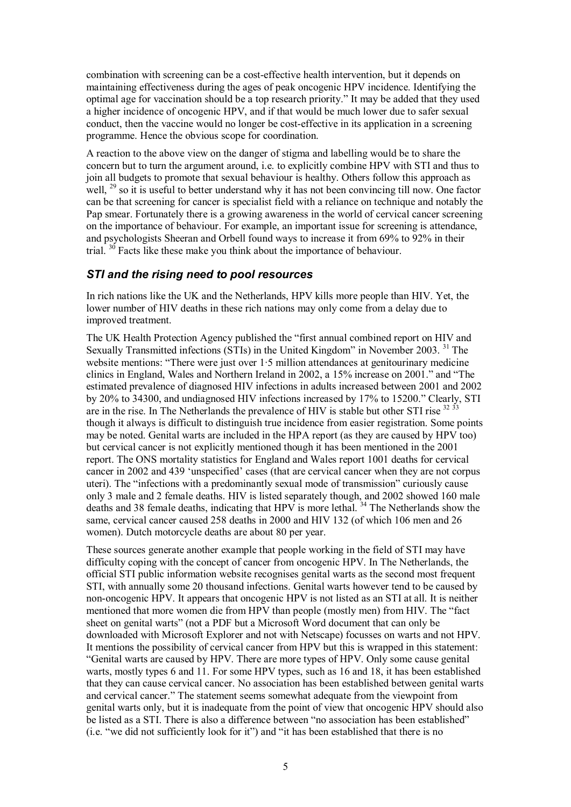combination with screening can be a cost-effective health intervention, but it depends on maintaining effectiveness during the ages of peak oncogenic HPV incidence. Identifying the optimal age for vaccination should be a top research priority." It may be added that they used a higher incidence of oncogenic HPV, and if that would be much lower due to safer sexual conduct, then the vaccine would no longer be cost-effective in its application in a screening programme. Hence the obvious scope for coordination.

A reaction to the above view on the danger of stigma and labelling would be to share the concern but to turn the argument around, i.e. to explicitly combine HPV with STI and thus to join all budgets to promote that sexual behaviour is healthy. Others follow this approach as well, <sup>29</sup> so it is useful to better understand why it has not been convincing till now. One factor can be that screening for cancer is specialist field with a reliance on technique and notably the Pap smear. Fortunately there is a growing awareness in the world of cervical cancer screening on the importance of behaviour. For example, an important issue for screening is attendance, and psychologists Sheeran and Orbell found ways to increase it from 69% to 92% in their trial. <sup>30</sup> Facts like these make you think about the importance of behaviour.

### *STI and the rising need to pool resources*

In rich nations like the UK and the Netherlands, HPV kills more people than HIV. Yet, the lower number of HIV deaths in these rich nations may only come from a delay due to improved treatment.

The UK Health Protection Agency published the "first annual combined report on HIV and Sexually Transmitted infections (STIs) in the United Kingdom" in November 2003.<sup>31</sup> The website mentions: "There were just over 1.5 million attendances at genitourinary medicine clinics in England, Wales and Northern Ireland in 2002, a 15% increase on 2001." and "The estimated prevalence of diagnosed HIV infections in adults increased between 2001 and 2002 by 20% to 34300, and undiagnosed HIV infections increased by 17% to 15200." Clearly, STI are in the rise. In The Netherlands the prevalence of HIV is stable but other STI rise  $32\frac{3}{2}$ though it always is difficult to distinguish true incidence from easier registration. Some points may be noted. Genital warts are included in the HPA report (as they are caused by HPV too) but cervical cancer is not explicitly mentioned though it has been mentioned in the 2001 report. The ONS mortality statistics for England and Wales report 1001 deaths for cervical cancer in 2002 and 439 'unspecified' cases (that are cervical cancer when they are not corpus uteri). The "infections with a predominantly sexual mode of transmission" curiously cause only 3 male and 2 female deaths. HIV is listed separately though, and 2002 showed 160 male deaths and 38 female deaths, indicating that  $HPV$  is more lethal.  $34$  The Netherlands show the same, cervical cancer caused 258 deaths in 2000 and HIV 132 (of which 106 men and 26 women). Dutch motorcycle deaths are about 80 per year.

These sources generate another example that people working in the field of STI may have difficulty coping with the concept of cancer from oncogenic HPV. In The Netherlands, the official STI public information website recognises genital warts as the second most frequent STI, with annually some 20 thousand infections. Genital warts however tend to be caused by non-oncogenic HPV. It appears that oncogenic HPV is not listed as an STI at all. It is neither mentioned that more women die from HPV than people (mostly men) from HIV. The "fact sheet on genital warts" (not a PDF but a Microsoft Word document that can only be downloaded with Microsoft Explorer and not with Netscape) focusses on warts and not HPV. It mentions the possibility of cervical cancer from HPV but this is wrapped in this statement: "Genital warts are caused by HPV. There are more types of HPV. Only some cause genital warts, mostly types 6 and 11. For some HPV types, such as 16 and 18, it has been established that they can cause cervical cancer. No association has been established between genital warts and cervical cancer." The statement seems somewhat adequate from the viewpoint from genital warts only, but it is inadequate from the point of view that oncogenic HPV should also be listed as a STI. There is also a difference between "no association has been established" (i.e. "we did not sufficiently look for it") and "it has been established that there is no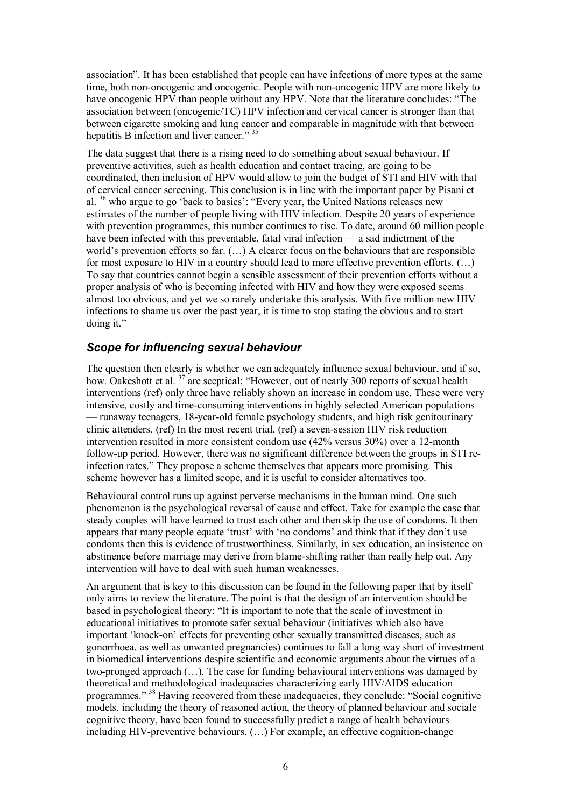association". It has been established that people can have infections of more types at the same time, both non-oncogenic and oncogenic. People with non-oncogenic HPV are more likely to have oncogenic HPV than people without any HPV. Note that the literature concludes: "The association between (oncogenic/TC) HPV infection and cervical cancer is stronger than that between cigarette smoking and lung cancer and comparable in magnitude with that between hepatitis B infection and liver cancer." 35

The data suggest that there is a rising need to do something about sexual behaviour. If preventive activities, such as health education and contact tracing, are going to be coordinated, then inclusion of HPV would allow to join the budget of STI and HIV with that of cervical cancer screening. This conclusion is in line with the important paper by Pisani et al. <sup>36</sup> who argue to go 'back to basics': "Every year, the United Nations releases new estimates of the number of people living with HIV infection. Despite 20 years of experience with prevention programmes, this number continues to rise. To date, around 60 million people have been infected with this preventable, fatal viral infection — a sad indictment of the world's prevention efforts so far. (…) A clearer focus on the behaviours that are responsible for most exposure to HIV in a country should lead to more effective prevention efforts. (…) To say that countries cannot begin a sensible assessment of their prevention efforts without a proper analysis of who is becoming infected with HIV and how they were exposed seems almost too obvious, and yet we so rarely undertake this analysis. With five million new HIV infections to shame us over the past year, it is time to stop stating the obvious and to start doing it."

## *Scope for influencing sexual behaviour*

The question then clearly is whether we can adequately influence sexual behaviour, and if so, how. Oakeshott et al. <sup>37</sup> are sceptical: "However, out of nearly 300 reports of sexual health interventions (ref) only three have reliably shown an increase in condom use. These were very intensive, costly and time-consuming interventions in highly selected American populations — runaway teenagers, 18-year-old female psychology students, and high risk genitourinary clinic attenders. (ref) In the most recent trial, (ref) a seven-session HIV risk reduction intervention resulted in more consistent condom use (42% versus 30%) over a 12-month follow-up period. However, there was no significant difference between the groups in STI reinfection rates." They propose a scheme themselves that appears more promising. This scheme however has a limited scope, and it is useful to consider alternatives too.

Behavioural control runs up against perverse mechanisms in the human mind. One such phenomenon is the psychological reversal of cause and effect. Take for example the case that steady couples will have learned to trust each other and then skip the use of condoms. It then appears that many people equate 'trust' with 'no condoms' and think that if they don't use condoms then this is evidence of trustworthiness. Similarly, in sex education, an insistence on abstinence before marriage may derive from blame-shifting rather than really help out. Any intervention will have to deal with such human weaknesses.

An argument that is key to this discussion can be found in the following paper that by itself only aims to review the literature. The point is that the design of an intervention should be based in psychological theory: "It is important to note that the scale of investment in educational initiatives to promote safer sexual behaviour (initiatives which also have important 'knock-on' effects for preventing other sexually transmitted diseases, such as gonorrhoea, as well as unwanted pregnancies) continues to fall a long way short of investment in biomedical interventions despite scientific and economic arguments about the virtues of a two-pronged approach (…). The case for funding behavioural interventions was damaged by theoretical and methodological inadequacies characterizing early HIV/AIDS education programmes." <sup>38</sup> Having recovered from these inadequacies, they conclude: "Social cognitive models, including the theory of reasoned action, the theory of planned behaviour and sociale cognitive theory, have been found to successfully predict a range of health behaviours including HIV-preventive behaviours. (…) For example, an effective cognition-change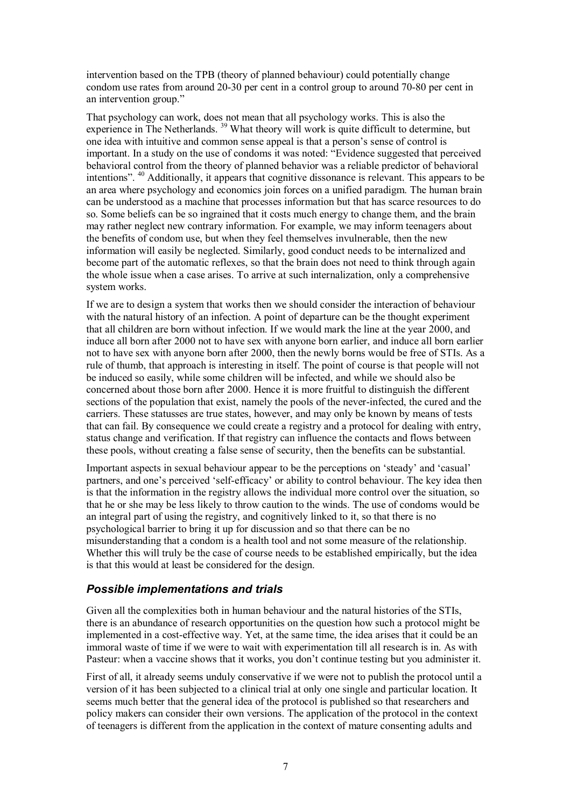intervention based on the TPB (theory of planned behaviour) could potentially change condom use rates from around 20-30 per cent in a control group to around 70-80 per cent in an intervention group."

That psychology can work, does not mean that all psychology works. This is also the experience in The Netherlands.<sup>39</sup> What theory will work is quite difficult to determine, but one idea with intuitive and common sense appeal is that a person's sense of control is important. In a study on the use of condoms it was noted: "Evidence suggested that perceived behavioral control from the theory of planned behavior was a reliable predictor of behavioral intentions". <sup>40</sup> Additionally, it appears that cognitive dissonance is relevant. This appears to be an area where psychology and economics join forces on a unified paradigm. The human brain can be understood as a machine that processes information but that has scarce resources to do so. Some beliefs can be so ingrained that it costs much energy to change them, and the brain may rather neglect new contrary information. For example, we may inform teenagers about the benefits of condom use, but when they feel themselves invulnerable, then the new information will easily be neglected. Similarly, good conduct needs to be internalized and become part of the automatic reflexes, so that the brain does not need to think through again the whole issue when a case arises. To arrive at such internalization, only a comprehensive system works.

If we are to design a system that works then we should consider the interaction of behaviour with the natural history of an infection. A point of departure can be the thought experiment that all children are born without infection. If we would mark the line at the year 2000, and induce all born after 2000 not to have sex with anyone born earlier, and induce all born earlier not to have sex with anyone born after 2000, then the newly borns would be free of STIs. As a rule of thumb, that approach is interesting in itself. The point of course is that people will not be induced so easily, while some children will be infected, and while we should also be concerned about those born after 2000. Hence it is more fruitful to distinguish the different sections of the population that exist, namely the pools of the never-infected, the cured and the carriers. These statusses are true states, however, and may only be known by means of tests that can fail. By consequence we could create a registry and a protocol for dealing with entry, status change and verification. If that registry can influence the contacts and flows between these pools, without creating a false sense of security, then the benefits can be substantial.

Important aspects in sexual behaviour appear to be the perceptions on 'steady' and 'casual' partners, and one's perceived 'self-efficacy' or ability to control behaviour. The key idea then is that the information in the registry allows the individual more control over the situation, so that he or she may be less likely to throw caution to the winds. The use of condoms would be an integral part of using the registry, and cognitively linked to it, so that there is no psychological barrier to bring it up for discussion and so that there can be no misunderstanding that a condom is a health tool and not some measure of the relationship. Whether this will truly be the case of course needs to be established empirically, but the idea is that this would at least be considered for the design.

## *Possible implementations and trials*

Given all the complexities both in human behaviour and the natural histories of the STIs, there is an abundance of research opportunities on the question how such a protocol might be implemented in a cost-effective way. Yet, at the same time, the idea arises that it could be an immoral waste of time if we were to wait with experimentation till all research is in. As with Pasteur: when a vaccine shows that it works, you don't continue testing but you administer it.

First of all, it already seems unduly conservative if we were not to publish the protocol until a version of it has been subjected to a clinical trial at only one single and particular location. It seems much better that the general idea of the protocol is published so that researchers and policy makers can consider their own versions. The application of the protocol in the context of teenagers is different from the application in the context of mature consenting adults and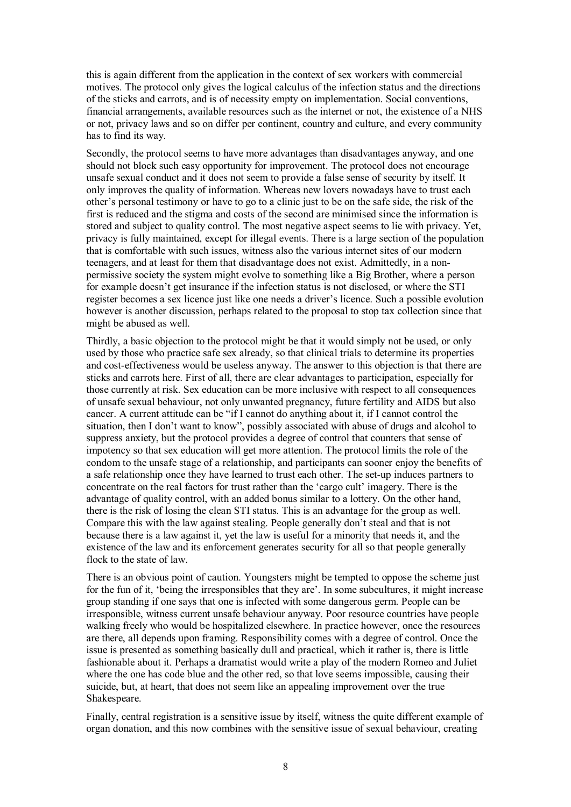this is again different from the application in the context of sex workers with commercial motives. The protocol only gives the logical calculus of the infection status and the directions of the sticks and carrots, and is of necessity empty on implementation. Social conventions, financial arrangements, available resources such as the internet or not, the existence of a NHS or not, privacy laws and so on differ per continent, country and culture, and every community has to find its way.

Secondly, the protocol seems to have more advantages than disadvantages anyway, and one should not block such easy opportunity for improvement. The protocol does not encourage unsafe sexual conduct and it does not seem to provide a false sense of security by itself. It only improves the quality of information. Whereas new lovers nowadays have to trust each other's personal testimony or have to go to a clinic just to be on the safe side, the risk of the first is reduced and the stigma and costs of the second are minimised since the information is stored and subject to quality control. The most negative aspect seems to lie with privacy. Yet, privacy is fully maintained, except for illegal events. There is a large section of the population that is comfortable with such issues, witness also the various internet sites of our modern teenagers, and at least for them that disadvantage does not exist. Admittedly, in a nonpermissive society the system might evolve to something like a Big Brother, where a person for example doesn't get insurance if the infection status is not disclosed, or where the STI register becomes a sex licence just like one needs a driver's licence. Such a possible evolution however is another discussion, perhaps related to the proposal to stop tax collection since that might be abused as well.

Thirdly, a basic objection to the protocol might be that it would simply not be used, or only used by those who practice safe sex already, so that clinical trials to determine its properties and cost-effectiveness would be useless anyway. The answer to this objection is that there are sticks and carrots here. First of all, there are clear advantages to participation, especially for those currently at risk. Sex education can be more inclusive with respect to all consequences of unsafe sexual behaviour, not only unwanted pregnancy, future fertility and AIDS but also cancer. A current attitude can be "if I cannot do anything about it, if I cannot control the situation, then I don't want to know", possibly associated with abuse of drugs and alcohol to suppress anxiety, but the protocol provides a degree of control that counters that sense of impotency so that sex education will get more attention. The protocol limits the role of the condom to the unsafe stage of a relationship, and participants can sooner enjoy the benefits of a safe relationship once they have learned to trust each other. The set-up induces partners to concentrate on the real factors for trust rather than the 'cargo cult' imagery. There is the advantage of quality control, with an added bonus similar to a lottery. On the other hand, there is the risk of losing the clean STI status. This is an advantage for the group as well. Compare this with the law against stealing. People generally don't steal and that is not because there is a law against it, yet the law is useful for a minority that needs it, and the existence of the law and its enforcement generates security for all so that people generally flock to the state of law.

There is an obvious point of caution. Youngsters might be tempted to oppose the scheme just for the fun of it, 'being the irresponsibles that they are'. In some subcultures, it might increase group standing if one says that one is infected with some dangerous germ. People can be irresponsible, witness current unsafe behaviour anyway. Poor resource countries have people walking freely who would be hospitalized elsewhere. In practice however, once the resources are there, all depends upon framing. Responsibility comes with a degree of control. Once the issue is presented as something basically dull and practical, which it rather is, there is little fashionable about it. Perhaps a dramatist would write a play of the modern Romeo and Juliet where the one has code blue and the other red, so that love seems impossible, causing their suicide, but, at heart, that does not seem like an appealing improvement over the true Shakespeare.

Finally, central registration is a sensitive issue by itself, witness the quite different example of organ donation, and this now combines with the sensitive issue of sexual behaviour, creating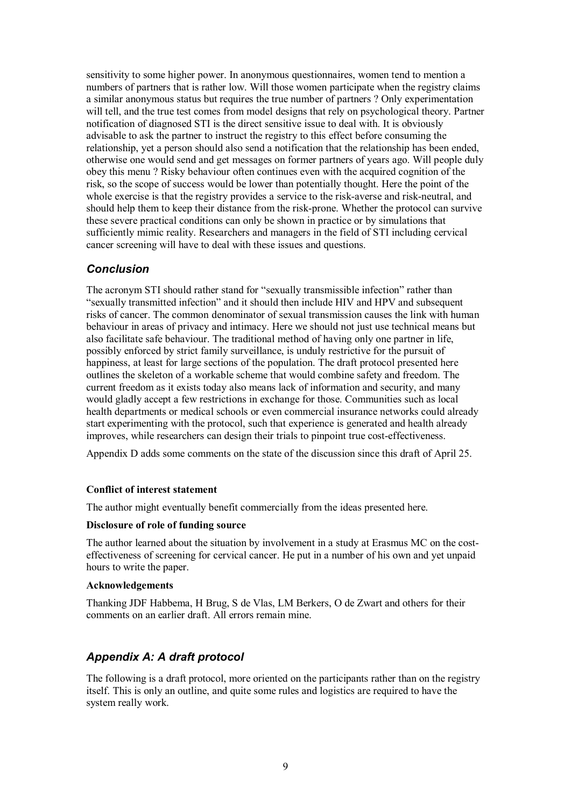sensitivity to some higher power. In anonymous questionnaires, women tend to mention a numbers of partners that is rather low. Will those women participate when the registry claims a similar anonymous status but requires the true number of partners ? Only experimentation will tell, and the true test comes from model designs that rely on psychological theory. Partner notification of diagnosed STI is the direct sensitive issue to deal with. It is obviously advisable to ask the partner to instruct the registry to this effect before consuming the relationship, yet a person should also send a notification that the relationship has been ended, otherwise one would send and get messages on former partners of years ago. Will people duly obey this menu ? Risky behaviour often continues even with the acquired cognition of the risk, so the scope of success would be lower than potentially thought. Here the point of the whole exercise is that the registry provides a service to the risk-averse and risk-neutral, and should help them to keep their distance from the risk-prone. Whether the protocol can survive these severe practical conditions can only be shown in practice or by simulations that sufficiently mimic reality. Researchers and managers in the field of STI including cervical cancer screening will have to deal with these issues and questions.

## *Conclusion*

The acronym STI should rather stand for "sexually transmissible infection" rather than "sexually transmitted infection" and it should then include HIV and HPV and subsequent risks of cancer. The common denominator of sexual transmission causes the link with human behaviour in areas of privacy and intimacy. Here we should not just use technical means but also facilitate safe behaviour. The traditional method of having only one partner in life, possibly enforced by strict family surveillance, is unduly restrictive for the pursuit of happiness, at least for large sections of the population. The draft protocol presented here outlines the skeleton of a workable scheme that would combine safety and freedom. The current freedom as it exists today also means lack of information and security, and many would gladly accept a few restrictions in exchange for those. Communities such as local health departments or medical schools or even commercial insurance networks could already start experimenting with the protocol, such that experience is generated and health already improves, while researchers can design their trials to pinpoint true cost-effectiveness.

Appendix D adds some comments on the state of the discussion since this draft of April 25.

#### **Conflict of interest statement**

The author might eventually benefit commercially from the ideas presented here.

#### **Disclosure of role of funding source**

The author learned about the situation by involvement in a study at Erasmus MC on the costeffectiveness of screening for cervical cancer. He put in a number of his own and yet unpaid hours to write the paper.

#### **Acknowledgements**

Thanking JDF Habbema, H Brug, S de Vlas, LM Berkers, O de Zwart and others for their comments on an earlier draft. All errors remain mine.

### *Appendix A: A draft protocol*

The following is a draft protocol, more oriented on the participants rather than on the registry itself. This is only an outline, and quite some rules and logistics are required to have the system really work.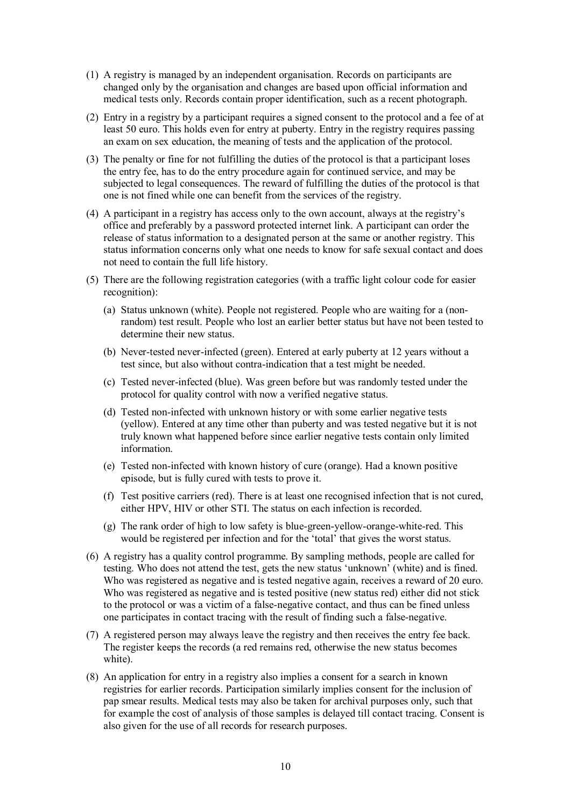- (1) A registry is managed by an independent organisation. Records on participants are changed only by the organisation and changes are based upon official information and medical tests only. Records contain proper identification, such as a recent photograph.
- (2) Entry in a registry by a participant requires a signed consent to the protocol and a fee of at least 50 euro. This holds even for entry at puberty. Entry in the registry requires passing an exam on sex education, the meaning of tests and the application of the protocol.
- (3) The penalty or fine for not fulfilling the duties of the protocol is that a participant loses the entry fee, has to do the entry procedure again for continued service, and may be subjected to legal consequences. The reward of fulfilling the duties of the protocol is that one is not fined while one can benefit from the services of the registry.
- (4) A participant in a registry has access only to the own account, always at the registry's office and preferably by a password protected internet link. A participant can order the release of status information to a designated person at the same or another registry. This status information concerns only what one needs to know for safe sexual contact and does not need to contain the full life history.
- (5) There are the following registration categories (with a traffic light colour code for easier recognition):
	- (a) Status unknown (white). People not registered. People who are waiting for a (nonrandom) test result. People who lost an earlier better status but have not been tested to determine their new status.
	- (b) Never-tested never-infected (green). Entered at early puberty at 12 years without a test since, but also without contra-indication that a test might be needed.
	- (c) Tested never-infected (blue). Was green before but was randomly tested under the protocol for quality control with now a verified negative status.
	- (d) Tested non-infected with unknown history or with some earlier negative tests (yellow). Entered at any time other than puberty and was tested negative but it is not truly known what happened before since earlier negative tests contain only limited information.
	- (e) Tested non-infected with known history of cure (orange). Had a known positive episode, but is fully cured with tests to prove it.
	- (f) Test positive carriers (red). There is at least one recognised infection that is not cured, either HPV, HIV or other STI. The status on each infection is recorded.
	- (g) The rank order of high to low safety is blue-green-yellow-orange-white-red. This would be registered per infection and for the 'total' that gives the worst status.
- (6) A registry has a quality control programme. By sampling methods, people are called for testing. Who does not attend the test, gets the new status 'unknown' (white) and is fined. Who was registered as negative and is tested negative again, receives a reward of 20 euro. Who was registered as negative and is tested positive (new status red) either did not stick to the protocol or was a victim of a false-negative contact, and thus can be fined unless one participates in contact tracing with the result of finding such a false-negative.
- (7) A registered person may always leave the registry and then receives the entry fee back. The register keeps the records (a red remains red, otherwise the new status becomes white).
- (8) An application for entry in a registry also implies a consent for a search in known registries for earlier records. Participation similarly implies consent for the inclusion of pap smear results. Medical tests may also be taken for archival purposes only, such that for example the cost of analysis of those samples is delayed till contact tracing. Consent is also given for the use of all records for research purposes.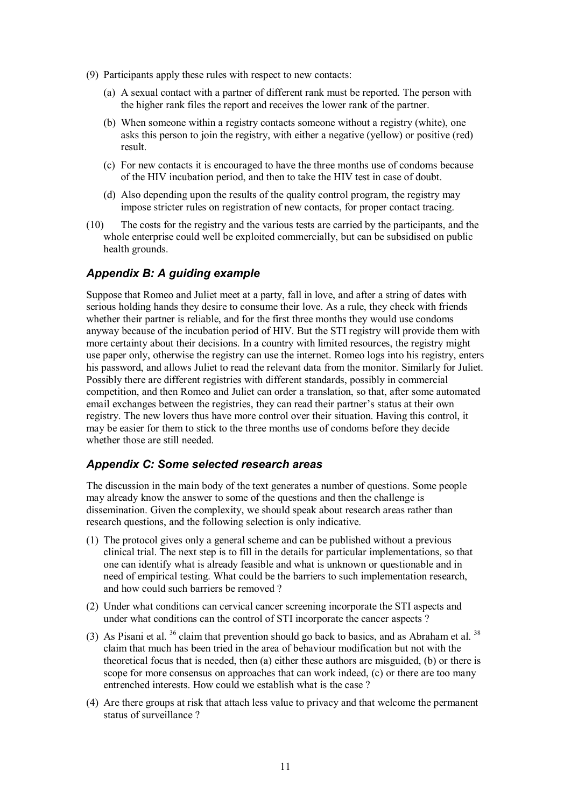- (9) Participants apply these rules with respect to new contacts:
	- (a) A sexual contact with a partner of different rank must be reported. The person with the higher rank files the report and receives the lower rank of the partner.
	- (b) When someone within a registry contacts someone without a registry (white), one asks this person to join the registry, with either a negative (yellow) or positive (red) result.
	- (c) For new contacts it is encouraged to have the three months use of condoms because of the HIV incubation period, and then to take the HIV test in case of doubt.
	- (d) Also depending upon the results of the quality control program, the registry may impose stricter rules on registration of new contacts, for proper contact tracing.
- (10) The costs for the registry and the various tests are carried by the participants, and the whole enterprise could well be exploited commercially, but can be subsidised on public health grounds.

## *Appendix B: A guiding example*

Suppose that Romeo and Juliet meet at a party, fall in love, and after a string of dates with serious holding hands they desire to consume their love. As a rule, they check with friends whether their partner is reliable, and for the first three months they would use condoms anyway because of the incubation period of HIV. But the STI registry will provide them with more certainty about their decisions. In a country with limited resources, the registry might use paper only, otherwise the registry can use the internet. Romeo logs into his registry, enters his password, and allows Juliet to read the relevant data from the monitor. Similarly for Juliet. Possibly there are different registries with different standards, possibly in commercial competition, and then Romeo and Juliet can order a translation, so that, after some automated email exchanges between the registries, they can read their partner's status at their own registry. The new lovers thus have more control over their situation. Having this control, it may be easier for them to stick to the three months use of condoms before they decide whether those are still needed.

## *Appendix C: Some selected research areas*

The discussion in the main body of the text generates a number of questions. Some people may already know the answer to some of the questions and then the challenge is dissemination. Given the complexity, we should speak about research areas rather than research questions, and the following selection is only indicative.

- (1) The protocol gives only a general scheme and can be published without a previous clinical trial. The next step is to fill in the details for particular implementations, so that one can identify what is already feasible and what is unknown or questionable and in need of empirical testing. What could be the barriers to such implementation research, and how could such barriers be removed ?
- (2) Under what conditions can cervical cancer screening incorporate the STI aspects and under what conditions can the control of STI incorporate the cancer aspects ?
- (3) As Pisani et al.  $36$  claim that prevention should go back to basics, and as Abraham et al.  $38$ claim that much has been tried in the area of behaviour modification but not with the theoretical focus that is needed, then (a) either these authors are misguided, (b) or there is scope for more consensus on approaches that can work indeed, (c) or there are too many entrenched interests. How could we establish what is the case ?
- (4) Are there groups at risk that attach less value to privacy and that welcome the permanent status of surveillance ?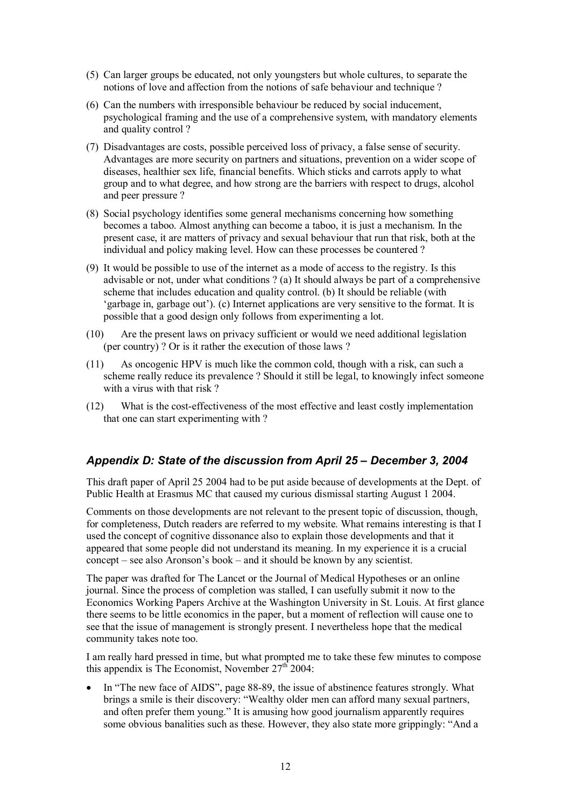- (5) Can larger groups be educated, not only youngsters but whole cultures, to separate the notions of love and affection from the notions of safe behaviour and technique ?
- (6) Can the numbers with irresponsible behaviour be reduced by social inducement, psychological framing and the use of a comprehensive system, with mandatory elements and quality control ?
- (7) Disadvantages are costs, possible perceived loss of privacy, a false sense of security. Advantages are more security on partners and situations, prevention on a wider scope of diseases, healthier sex life, financial benefits. Which sticks and carrots apply to what group and to what degree, and how strong are the barriers with respect to drugs, alcohol and peer pressure ?
- (8) Social psychology identifies some general mechanisms concerning how something becomes a taboo. Almost anything can become a taboo, it is just a mechanism. In the present case, it are matters of privacy and sexual behaviour that run that risk, both at the individual and policy making level. How can these processes be countered ?
- (9) It would be possible to use of the internet as a mode of access to the registry. Is this advisable or not, under what conditions ? (a) It should always be part of a comprehensive scheme that includes education and quality control. (b) It should be reliable (with 'garbage in, garbage out'). (c) Internet applications are very sensitive to the format. It is possible that a good design only follows from experimenting a lot.
- (10) Are the present laws on privacy sufficient or would we need additional legislation (per country) ? Or is it rather the execution of those laws ?
- (11) As oncogenic HPV is much like the common cold, though with a risk, can such a scheme really reduce its prevalence ? Should it still be legal, to knowingly infect someone with a virus with that risk ?
- (12) What is the cost-effectiveness of the most effective and least costly implementation that one can start experimenting with ?

# *Appendix D: State of the discussion from April 25 – December 3, 2004*

This draft paper of April 25 2004 had to be put aside because of developments at the Dept. of Public Health at Erasmus MC that caused my curious dismissal starting August 1 2004.

Comments on those developments are not relevant to the present topic of discussion, though, for completeness, Dutch readers are referred to my website. What remains interesting is that I used the concept of cognitive dissonance also to explain those developments and that it appeared that some people did not understand its meaning. In my experience it is a crucial concept – see also Aronson's book – and it should be known by any scientist.

The paper was drafted for The Lancet or the Journal of Medical Hypotheses or an online journal. Since the process of completion was stalled, I can usefully submit it now to the Economics Working Papers Archive at the Washington University in St. Louis. At first glance there seems to be little economics in the paper, but a moment of reflection will cause one to see that the issue of management is strongly present. I nevertheless hope that the medical community takes note too.

I am really hard pressed in time, but what prompted me to take these few minutes to compose this appendix is The Economist, November  $27<sup>th</sup> 2004$ :

 In "The new face of AIDS", page 88-89, the issue of abstinence features strongly. What brings a smile is their discovery: "Wealthy older men can afford many sexual partners, and often prefer them young." It is amusing how good journalism apparently requires some obvious banalities such as these. However, they also state more grippingly: "And a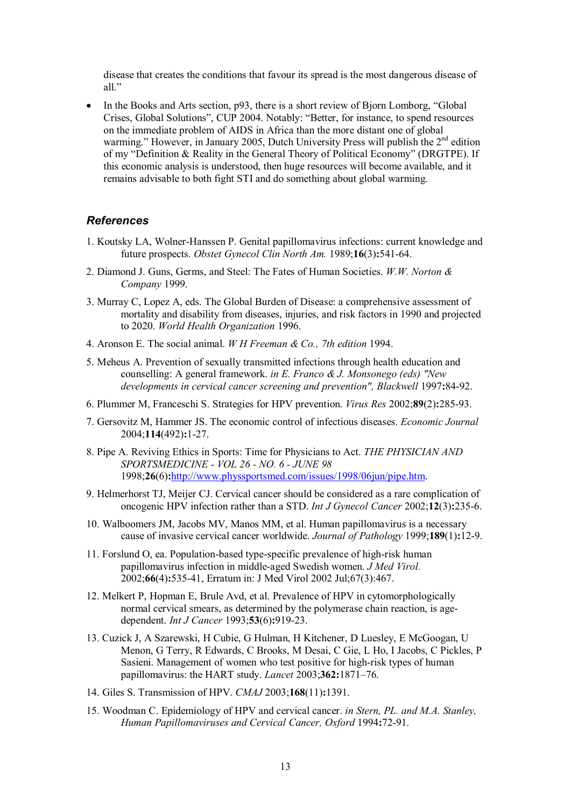disease that creates the conditions that favour its spread is the most dangerous disease of all."

• In the Books and Arts section, p93, there is a short review of Bjorn Lomborg, "Global" Crises, Global Solutions", CUP 2004. Notably: "Better, for instance, to spend resources on the immediate problem of AIDS in Africa than the more distant one of global warming." However, in January 2005, Dutch University Press will publish the 2<sup>nd</sup> edition of my "Definition & Reality in the General Theory of Political Economy" (DRGTPE). If this economic analysis is understood, then huge resources will become available, and it remains advisable to both fight STI and do something about global warming.

### *References*

- 1. Koutsky LA, Wolner-Hanssen P. Genital papillomavirus infections: current knowledge and future prospects. *Obstet Gynecol Clin North Am.* 1989;**16**(3)**:**541-64.
- 2. Diamond J. Guns, Germs, and Steel: The Fates of Human Societies. *W.W. Norton & Company* 1999.
- 3. Murray C, Lopez A, eds. The Global Burden of Disease: a comprehensive assessment of mortality and disability from diseases, injuries, and risk factors in 1990 and projected to 2020. *World Health Organization* 1996.
- 4. Aronson E. The social animal. *W H Freeman & Co., 7th edition* 1994.
- 5. Meheus A. Prevention of sexually transmitted infections through health education and counselling: A general framework. *in E. Franco & J. Monsonego (eds) "New developments in cervical cancer screening and prevention", Blackwell* 1997**:**84-92.
- 6. Plummer M, Franceschi S. Strategies for HPV prevention. *Virus Res* 2002;**89**(2)**:**285-93.
- 7. Gersovitz M, Hammer JS. The economic control of infectious diseases. *Economic Journal* 2004;**114**(492)**:**1-27.
- 8. Pipe A. Reviving Ethics in Sports: Time for Physicians to Act. *THE PHYSICIAN AND SPORTSMEDICINE - VOL 26 - NO. 6 - JUNE 98* 1998;**26**(6)**:**http://www.physsportsmed.com/issues/1998/06jun/pipe.htm.
- 9. Helmerhorst TJ, Meijer CJ. Cervical cancer should be considered as a rare complication of oncogenic HPV infection rather than a STD. *Int J Gynecol Cancer* 2002;**12**(3)**:**235-6.
- 10. Walboomers JM, Jacobs MV, Manos MM, et al. Human papillomavirus is a necessary cause of invasive cervical cancer worldwide. *Journal of Pathology* 1999;**189**(1)**:**12-9.
- 11. Forslund O, ea. Population-based type-specific prevalence of high-risk human papillomavirus infection in middle-aged Swedish women. *J Med Virol.* 2002;**66**(4)**:**535-41, Erratum in: J Med Virol 2002 Jul;67(3):467.
- 12. Melkert P, Hopman E, Brule Avd, et al. Prevalence of HPV in cytomorphologically normal cervical smears, as determined by the polymerase chain reaction, is agedependent. *Int J Cancer* 1993;**53**(6)**:**919-23.
- 13. Cuzick J, A Szarewski, H Cubie, G Hulman, H Kitchener, D Luesley, E McGoogan, U Menon, G Terry, R Edwards, C Brooks, M Desai, C Gie, L Ho, I Jacobs, C Pickles, P Sasieni. Management of women who test positive for high-risk types of human papillomavirus: the HART study. *Lancet* 2003;**362:**1871–76.
- 14. Giles S. Transmission of HPV. *CMAJ* 2003;**168**(11)**:**1391.
- 15. Woodman C. Epidemiology of HPV and cervical cancer. *in Stern, PL. and M.A. Stanley, Human Papillomaviruses and Cervical Cancer, Oxford* 1994**:**72-91.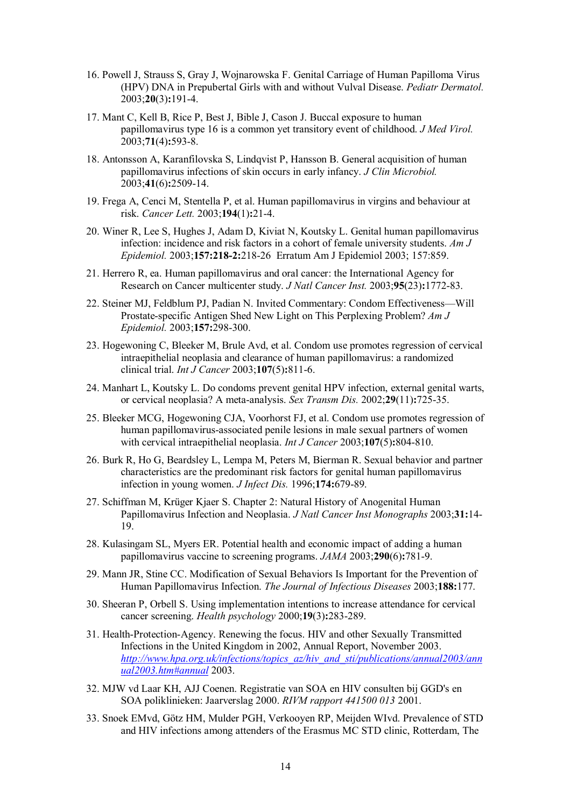- 16. Powell J, Strauss S, Gray J, Wojnarowska F. Genital Carriage of Human Papilloma Virus (HPV) DNA in Prepubertal Girls with and without Vulval Disease. *Pediatr Dermatol.* 2003;**20**(3)**:**191-4.
- 17. Mant C, Kell B, Rice P, Best J, Bible J, Cason J. Buccal exposure to human papillomavirus type 16 is a common yet transitory event of childhood. *J Med Virol.* 2003;**71**(4)**:**593-8.
- 18. Antonsson A, Karanfilovska S, Lindqvist P, Hansson B. General acquisition of human papillomavirus infections of skin occurs in early infancy. *J Clin Microbiol.* 2003;**41**(6)**:**2509-14.
- 19. Frega A, Cenci M, Stentella P, et al. Human papillomavirus in virgins and behaviour at risk. *Cancer Lett.* 2003;**194**(1)**:**21-4.
- 20. Winer R, Lee S, Hughes J, Adam D, Kiviat N, Koutsky L. Genital human papillomavirus infection: incidence and risk factors in a cohort of female university students. *Am J Epidemiol.* 2003;**157:218-2:**218-26 Erratum Am J Epidemiol 2003; 157:859.
- 21. Herrero R, ea. Human papillomavirus and oral cancer: the International Agency for Research on Cancer multicenter study. *J Natl Cancer Inst.* 2003;**95**(23)**:**1772-83.
- 22. Steiner MJ, Feldblum PJ, Padian N. Invited Commentary: Condom Effectiveness—Will Prostate-specific Antigen Shed New Light on This Perplexing Problem? *Am J Epidemiol.* 2003;**157:**298-300.
- 23. Hogewoning C, Bleeker M, Brule Avd, et al. Condom use promotes regression of cervical intraepithelial neoplasia and clearance of human papillomavirus: a randomized clinical trial. *Int J Cancer* 2003;**107**(5)**:**811-6.
- 24. Manhart L, Koutsky L. Do condoms prevent genital HPV infection, external genital warts, or cervical neoplasia? A meta-analysis. *Sex Transm Dis.* 2002;**29**(11)**:**725-35.
- 25. Bleeker MCG, Hogewoning CJA, Voorhorst FJ, et al. Condom use promotes regression of human papillomavirus-associated penile lesions in male sexual partners of women with cervical intraepithelial neoplasia. *Int J Cancer* 2003;**107**(5)**:**804-810.
- 26. Burk R, Ho G, Beardsley L, Lempa M, Peters M, Bierman R. Sexual behavior and partner characteristics are the predominant risk factors for genital human papillomavirus infection in young women. *J Infect Dis.* 1996;**174:**679-89.
- 27. Schiffman M, Krüger Kjaer S. Chapter 2: Natural History of Anogenital Human Papillomavirus Infection and Neoplasia. *J Natl Cancer Inst Monographs* 2003;**31:**14- 19.
- 28. Kulasingam SL, Myers ER. Potential health and economic impact of adding a human papillomavirus vaccine to screening programs. *JAMA* 2003;**290**(6)**:**781-9.
- 29. Mann JR, Stine CC. Modification of Sexual Behaviors Is Important for the Prevention of Human Papillomavirus Infection. *The Journal of Infectious Diseases* 2003;**188:**177.
- 30. Sheeran P, Orbell S. Using implementation intentions to increase attendance for cervical cancer screening. *Health psychology* 2000;**19**(3)**:**283-289.
- 31. Health-Protection-Agency. Renewing the focus. HIV and other Sexually Transmitted Infections in the United Kingdom in 2002, Annual Report, November 2003. *http://www.hpa.org.uk/infections/topics\_az/hiv\_and\_sti/publications/annual2003/ann ual2003.htm#annual* 2003.
- 32. MJW vd Laar KH, AJJ Coenen. Registratie van SOA en HIV consulten bij GGD's en SOA poliklinieken: Jaarverslag 2000. *RIVM rapport 441500 013* 2001.
- 33. Snoek EMvd, Götz HM, Mulder PGH, Verkooyen RP, Meijden WIvd. Prevalence of STD and HIV infections among attenders of the Erasmus MC STD clinic, Rotterdam, The